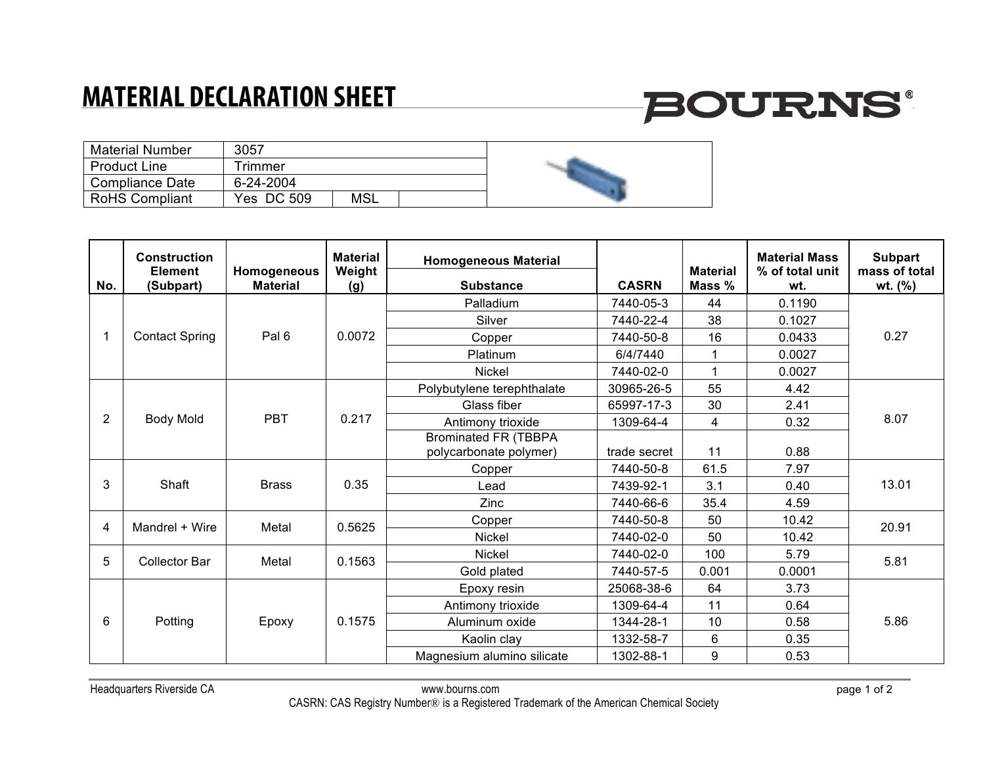### **MATERIAL DECLARATION SHEET**

# **BOURNS®**

| <b>Material Number</b> | 3057       |     |  |
|------------------------|------------|-----|--|
| <b>Product Line</b>    | rimmer     |     |  |
| Compliance Date        | 6-24-2004  |     |  |
| <b>RoHS Compliant</b>  | Yes DC 509 | MSL |  |

| No.                      | <b>Construction</b><br><b>Element</b><br>(Subpart) | Homogeneous<br><b>Material</b> | <b>Material</b><br>Weight<br>(g) | <b>Homogeneous Material</b><br><b>Substance</b>       | <b>CASRN</b> | <b>Material</b><br>Mass % | <b>Material Mass</b><br>% of total unit<br>wt. | <b>Subpart</b><br>mass of total<br>$wt.$ (%) |
|--------------------------|----------------------------------------------------|--------------------------------|----------------------------------|-------------------------------------------------------|--------------|---------------------------|------------------------------------------------|----------------------------------------------|
| $\overline{\phantom{a}}$ | <b>Contact Spring</b>                              | Pal 6                          | 0.0072                           | Palladium                                             | 7440-05-3    | 44                        | 0.1190                                         | 0.27                                         |
|                          |                                                    |                                |                                  | Silver                                                | 7440-22-4    | 38                        | 0.1027                                         |                                              |
|                          |                                                    |                                |                                  | Copper                                                | 7440-50-8    | 16                        | 0.0433                                         |                                              |
|                          |                                                    |                                |                                  | Platinum                                              | 6/4/7440     | 1                         | 0.0027                                         |                                              |
|                          |                                                    |                                |                                  | <b>Nickel</b>                                         | 7440-02-0    | 1                         | 0.0027                                         |                                              |
| 2                        | <b>Body Mold</b>                                   | <b>PBT</b>                     | 0.217                            | Polybutylene terephthalate                            | 30965-26-5   | 55                        | 4.42                                           | 8.07                                         |
|                          |                                                    |                                |                                  | Glass fiber                                           | 65997-17-3   | 30                        | 2.41                                           |                                              |
|                          |                                                    |                                |                                  | Antimony trioxide                                     | 1309-64-4    | 4                         | 0.32                                           |                                              |
|                          |                                                    |                                |                                  | <b>Brominated FR (TBBPA</b><br>polycarbonate polymer) | trade secret | 11                        | 0.88                                           |                                              |
|                          | Shaft                                              | <b>Brass</b>                   | 0.35                             | Copper                                                | 7440-50-8    | 61.5                      | 7.97                                           | 13.01                                        |
| 3                        |                                                    |                                |                                  | Lead                                                  | 7439-92-1    | 3.1                       | 0.40                                           |                                              |
|                          |                                                    |                                |                                  | Zinc                                                  | 7440-66-6    | 35.4                      | 4.59                                           |                                              |
| $\overline{4}$           | Mandrel + Wire                                     | Metal                          | 0.5625                           | Copper                                                | 7440-50-8    | 50                        | 10.42                                          | 20.91                                        |
|                          |                                                    |                                |                                  | <b>Nickel</b>                                         | 7440-02-0    | 50                        | 10.42                                          |                                              |
| 5                        | <b>Collector Bar</b>                               | Metal                          | 0.1563                           | <b>Nickel</b>                                         | 7440-02-0    | 100                       | 5.79                                           | 5.81                                         |
|                          |                                                    |                                |                                  | Gold plated                                           | 7440-57-5    | 0.001                     | 0.0001                                         |                                              |
| 6                        | Potting                                            | Epoxy                          | 0.1575                           | Epoxy resin                                           | 25068-38-6   | 64                        | 3.73                                           | 5.86                                         |
|                          |                                                    |                                |                                  | Antimony trioxide                                     | 1309-64-4    | 11                        | 0.64                                           |                                              |
|                          |                                                    |                                |                                  | Aluminum oxide                                        | 1344-28-1    | 10                        | 0.58                                           |                                              |
|                          |                                                    |                                |                                  | Kaolin clay                                           | 1332-58-7    | $6\phantom{1}$            | 0.35                                           |                                              |
|                          |                                                    |                                |                                  | Magnesium alumino silicate                            | 1302-88-1    | 9                         | 0.53                                           |                                              |